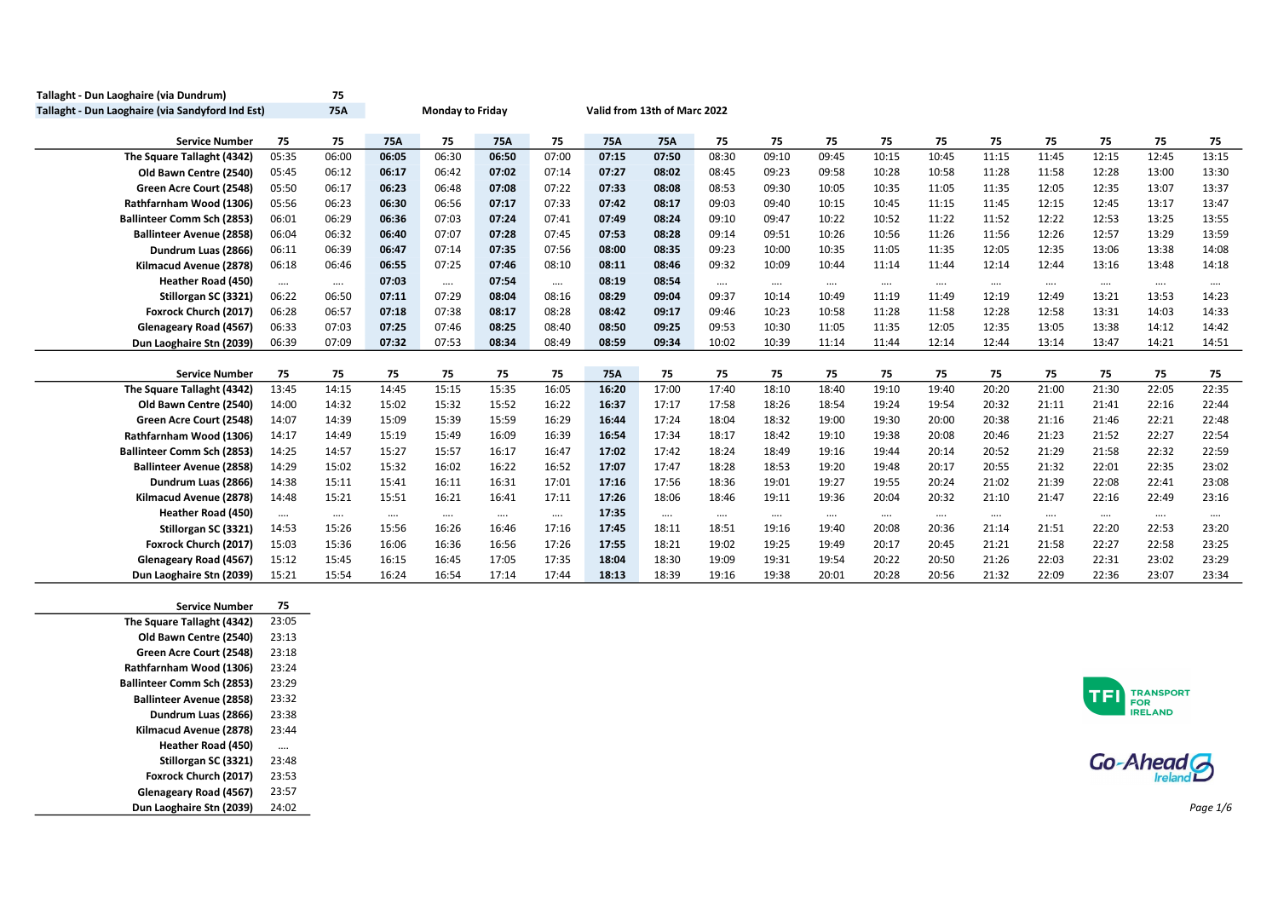| Tallaght - Dun Laoghaire (via Dundrum)           |          | 75         |          |                  |            |          |            |                              |          |          |          |          |          |          |          |          |          |          |
|--------------------------------------------------|----------|------------|----------|------------------|------------|----------|------------|------------------------------|----------|----------|----------|----------|----------|----------|----------|----------|----------|----------|
| Tallaght - Dun Laoghaire (via Sandyford Ind Est) |          | <b>75A</b> |          | Monday to Friday |            |          |            | Valid from 13th of Marc 2022 |          |          |          |          |          |          |          |          |          |          |
| <b>Service Number</b>                            | 75       | 75         | 75A      | 75               | <b>75A</b> | 75       | 75A        | 75A                          | 75       | 75       | 75       | 75       | 75       | 75       | 75       | 75       | 75       | 75       |
| The Square Tallaght (4342)                       | 05:35    | 06:00      | 06:05    | 06:30            | 06:50      | 07:00    | 07:15      | 07:50                        | 08:30    | 09:10    | 09:45    | 10:15    | 10:45    | 11:15    | 11:45    | 12:15    | 12:45    | 13:15    |
| Old Bawn Centre (2540)                           | 05:45    | 06:12      | 06:17    | 06:42            | 07:02      | 07:14    | 07:27      | 08:02                        | 08:45    | 09:23    | 09:58    | 10:28    | 10:58    | 11:28    | 11:58    | 12:28    | 13:00    | 13:30    |
| Green Acre Court (2548)                          | 05:50    | 06:17      | 06:23    | 06:48            | 07:08      | 07:22    | 07:33      | 08:08                        | 08:53    | 09:30    | 10:05    | 10:35    | 11:05    | 11:35    | 12:05    | 12:35    | 13:07    | 13:37    |
| Rathfarnham Wood (1306)                          | 05:56    | 06:23      | 06:30    | 06:56            | 07:17      | 07:33    | 07:42      | 08:17                        | 09:03    | 09:40    | 10:15    | 10:45    | 11:15    | 11:45    | 12:15    | 12:45    | 13:17    | 13:47    |
| <b>Ballinteer Comm Sch (2853)</b>                | 06:01    | 06:29      | 06:36    | 07:03            | 07:24      | 07:41    | 07:49      | 08:24                        | 09:10    | 09:47    | 10:22    | 10:52    | 11:22    | 11:52    | 12:22    | 12:53    | 13:25    | 13:55    |
| <b>Ballinteer Avenue (2858)</b>                  | 06:04    | 06:32      | 06:40    | 07:07            | 07:28      | 07:45    | 07:53      | 08:28                        | 09:14    | 09:51    | 10:26    | 10:56    | 11:26    | 11:56    | 12:26    | 12:57    | 13:29    | 13:59    |
| Dundrum Luas (2866)                              | 06:11    | 06:39      | 06:47    | 07:14            | 07:35      | 07:56    | 08:00      | 08:35                        | 09:23    | 10:00    | 10:35    | 11:05    | 11:35    | 12:05    | 12:35    | 13:06    | 13:38    | 14:08    |
| Kilmacud Avenue (2878)                           | 06:18    | 06:46      | 06:55    | 07:25            | 07:46      | 08:10    | 08:11      | 08:46                        | 09:32    | 10:09    | 10:44    | 11:14    | 11:44    | 12:14    | 12:44    | 13:16    | 13:48    | 14:18    |
| Heather Road (450)                               | $\cdots$ | $\cdots$   | 07:03    | $\cdots$         | 07:54      | $\cdots$ | 08:19      | 08:54                        | $\cdots$ | $\cdots$ | $\cdots$ | $\cdots$ | $\cdots$ | $\cdots$ | $\cdots$ | $\cdots$ | $\cdots$ | $\cdots$ |
| Stillorgan SC (3321)                             | 06:22    | 06:50      | 07:11    | 07:29            | 08:04      | 08:16    | 08:29      | 09:04                        | 09:37    | 10:14    | 10:49    | 11:19    | 11:49    | 12:19    | 12:49    | 13:21    | 13:53    | 14:23    |
| Foxrock Church (2017)                            | 06:28    | 06:57      | 07:18    | 07:38            | 08:17      | 08:28    | 08:42      | 09:17                        | 09:46    | 10:23    | 10:58    | 11:28    | 11:58    | 12:28    | 12:58    | 13:31    | 14:03    | 14:33    |
| Glenageary Road (4567)                           | 06:33    | 07:03      | 07:25    | 07:46            | 08:25      | 08:40    | 08:50      | 09:25                        | 09:53    | 10:30    | 11:05    | 11:35    | 12:05    | 12:35    | 13:05    | 13:38    | 14:12    | 14:42    |
| Dun Laoghaire Stn (2039)                         | 06:39    | 07:09      | 07:32    | 07:53            | 08:34      | 08:49    | 08:59      | 09:34                        | 10:02    | 10:39    | 11:14    | 11:44    | 12:14    | 12:44    | 13:14    | 13:47    | 14:21    | 14:51    |
|                                                  |          |            |          |                  |            |          |            |                              |          |          |          |          |          |          |          |          |          |          |
| <b>Service Number</b>                            | 75       | 75         | 75       | 75               | 75         | 75       | <b>75A</b> | 75                           | 75       | 75       | 75       | 75       | 75       | 75       | 75       | 75       | 75       | 75       |
| The Square Tallaght (4342)                       | 13:45    | 14:15      | 14:45    | 15:15            | 15:35      | 16:05    | 16:20      | 17:00                        | 17:40    | 18:10    | 18:40    | 19:10    | 19:40    | 20:20    | 21:00    | 21:30    | 22:05    | 22:35    |
| Old Bawn Centre (2540)                           | 14:00    | 14:32      | 15:02    | 15:32            | 15:52      | 16:22    | 16:37      | 17:17                        | 17:58    | 18:26    | 18:54    | 19:24    | 19:54    | 20:32    | 21:11    | 21:41    | 22:16    | 22:44    |
| Green Acre Court (2548)                          | 14:07    | 14:39      | 15:09    | 15:39            | 15:59      | 16:29    | 16:44      | 17:24                        | 18:04    | 18:32    | 19:00    | 19:30    | 20:00    | 20:38    | 21:16    | 21:46    | 22:21    | 22:48    |
| Rathfarnham Wood (1306)                          | 14:17    | 14:49      | 15:19    | 15:49            | 16:09      | 16:39    | 16:54      | 17:34                        | 18:17    | 18:42    | 19:10    | 19:38    | 20:08    | 20:46    | 21:23    | 21:52    | 22:27    | 22:54    |
| <b>Ballinteer Comm Sch (2853)</b>                | 14:25    | 14:57      | 15:27    | 15:57            | 16:17      | 16:47    | 17:02      | 17:42                        | 18:24    | 18:49    | 19:16    | 19:44    | 20:14    | 20:52    | 21:29    | 21:58    | 22:32    | 22:59    |
| <b>Ballinteer Avenue (2858)</b>                  | 14:29    | 15:02      | 15:32    | 16:02            | 16:22      | 16:52    | 17:07      | 17:47                        | 18:28    | 18:53    | 19:20    | 19:48    | 20:17    | 20:55    | 21:32    | 22:01    | 22:35    | 23:02    |
| Dundrum Luas (2866)                              | 14:38    | 15:11      | 15:41    | 16:11            | 16:31      | 17:01    | 17:16      | 17:56                        | 18:36    | 19:01    | 19:27    | 19:55    | 20:24    | 21:02    | 21:39    | 22:08    | 22:41    | 23:08    |
| Kilmacud Avenue (2878)                           | 14:48    | 15:21      | 15:51    | 16:21            | 16:41      | 17:11    | 17:26      | 18:06                        | 18:46    | 19:11    | 19:36    | 20:04    | 20:32    | 21:10    | 21:47    | 22:16    | 22:49    | 23:16    |
| Heather Road (450)                               | $\cdots$ | $\cdots$   | $\cdots$ | $\cdots$         | $\cdots$   | $\cdots$ | 17:35      | $\cdots$                     | $\cdots$ | $\cdots$ | $\cdots$ | $\cdots$ | $\cdots$ | $\cdots$ | $\cdots$ | $\cdots$ | $\cdots$ | $\cdots$ |
| Stillorgan SC (3321)                             | 14:53    | 15:26      | 15:56    | 16:26            | 16:46      | 17:16    | 17:45      | 18:11                        | 18:51    | 19:16    | 19:40    | 20:08    | 20:36    | 21:14    | 21:51    | 22:20    | 22:53    | 23:20    |
| Foxrock Church (2017)                            | 15:03    | 15:36      | 16:06    | 16:36            | 16:56      | 17:26    | 17:55      | 18:21                        | 19:02    | 19:25    | 19:49    | 20:17    | 20:45    | 21:21    | 21:58    | 22:27    | 22:58    | 23:25    |
| Glenageary Road (4567)                           | 15:12    | 15:45      | 16:15    | 16:45            | 17:05      | 17:35    | 18:04      | 18:30                        | 19:09    | 19:31    | 19:54    | 20:22    | 20:50    | 21:26    | 22:03    | 22:31    | 23:02    | 23:29    |
| Dun Laoghaire Stn (2039)                         | 15:21    | 15:54      | 16:24    | 16:54            | 17:14      | 17:44    | 18:13      | 18:39                        | 19:16    | 19:38    | 20:01    | 20:28    | 20:56    | 21:32    | 22:09    | 22:36    | 23:07    | 23:34    |

| <b>Service Number</b>           | 75       |
|---------------------------------|----------|
| The Square Tallaght (4342)      | 23:05    |
| Old Bawn Centre (2540)          | 23:13    |
| Green Acre Court (2548)         | 23:18    |
| Rathfarnham Wood (1306)         | 23:24    |
| Ballinteer Comm Sch (2853)      | 23:29    |
| <b>Ballinteer Avenue (2858)</b> | 23:32    |
| Dundrum Luas (2866)             | 23:38    |
| Kilmacud Avenue (2878)          | 23:44    |
| Heather Road (450)              | $\cdots$ |
| Stillorgan SC (3321)            | 23:48    |
| Foxrock Church (2017)           | 23:53    |
| Glenageary Road (4567)          | 23:57    |
| Dun Laoghaire Stn (2039)        | 24:02    |



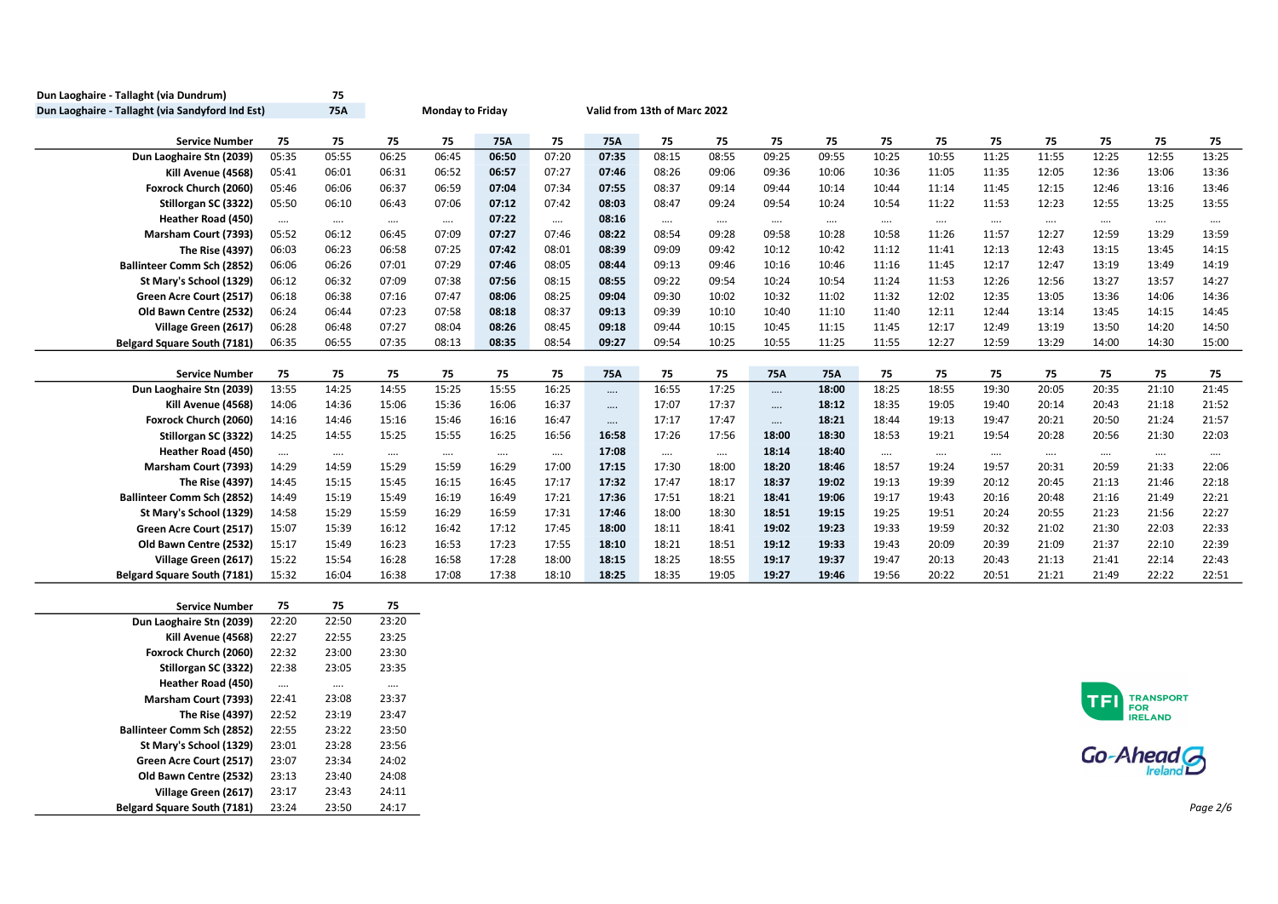| Dun Laoghaire - Tallaght (via Dundrum)           |          | 75         |                                                  |          |            |          |          |          |          |          |            |          |          |          |          |            |                  |          |
|--------------------------------------------------|----------|------------|--------------------------------------------------|----------|------------|----------|----------|----------|----------|----------|------------|----------|----------|----------|----------|------------|------------------|----------|
| Dun Laoghaire - Tallaght (via Sandyford Ind Est) |          | <b>75A</b> | Monday to Friday<br>Valid from 13th of Marc 2022 |          |            |          |          |          |          |          |            |          |          |          |          |            |                  |          |
|                                                  |          |            |                                                  |          |            |          |          |          |          |          |            |          |          |          |          |            |                  |          |
| <b>Service Number</b>                            | 75       | 75         | 75                                               | 75       | <b>75A</b> | 75       | 75A      | 75       | 75       | 75       | 75         | 75       | 75       | 75       | 75       | 75         | 75               | 75       |
| Dun Laoghaire Stn (2039)                         | 05:35    | 05:55      | 06:25                                            | 06:45    | 06:50      | 07:20    | 07:35    | 08:15    | 08:55    | 09:25    | 09:55      | 10:25    | 10:55    | 11:25    | 11:55    | 12:25      | 12:55            | 13:25    |
| Kill Avenue (4568)                               | 05:41    | 06:01      | 06:31                                            | 06:52    | 06:57      | 07:27    | 07:46    | 08:26    | 09:06    | 09:36    | 10:06      | 10:36    | 11:05    | 11:35    | 12:05    | 12:36      | 13:06            | 13:36    |
| Foxrock Church (2060)                            | 05:46    | 06:06      | 06:37                                            | 06:59    | 07:04      | 07:34    | 07:55    | 08:37    | 09:14    | 09:44    | 10:14      | 10:44    | 11:14    | 11:45    | 12:15    | 12:46      | 13:16            | 13:46    |
| Stillorgan SC (3322)                             | 05:50    | 06:10      | 06:43                                            | 07:06    | 07:12      | 07:42    | 08:03    | 08:47    | 09:24    | 09:54    | 10:24      | 10:54    | 11:22    | 11:53    | 12:23    | 12:55      | 13:25            | 13:55    |
| <b>Heather Road (450)</b>                        | $\cdots$ | $\cdots$   | $\cdots$                                         | $\cdots$ | 07:22      | $\cdots$ | 08:16    | $\cdots$ | $\cdots$ | $\cdots$ | $\cdots$   | $\cdots$ | $\cdots$ | $\cdots$ | $\cdots$ | $\cdots$   | $\cdots$         | $\cdots$ |
| Marsham Court (7393)                             | 05:52    | 06:12      | 06:45                                            | 07:09    | 07:27      | 07:46    | 08:22    | 08:54    | 09:28    | 09:58    | 10:28      | 10:58    | 11:26    | 11:57    | 12:27    | 12:59      | 13:29            | 13:59    |
| The Rise (4397)                                  | 06:03    | 06:23      | 06:58                                            | 07:25    | 07:42      | 08:01    | 08:39    | 09:09    | 09:42    | 10:12    | 10:42      | 11:12    | 11:41    | 12:13    | 12:43    | 13:15      | 13:45            | 14:15    |
| <b>Ballinteer Comm Sch (2852)</b>                | 06:06    | 06:26      | 07:01                                            | 07:29    | 07:46      | 08:05    | 08:44    | 09:13    | 09:46    | 10:16    | 10:46      | 11:16    | 11:45    | 12:17    | 12:47    | 13:19      | 13:49            | 14:19    |
| St Mary's School (1329)                          | 06:12    | 06:32      | 07:09                                            | 07:38    | 07:56      | 08:15    | 08:55    | 09:22    | 09:54    | 10:24    | 10:54      | 11:24    | 11:53    | 12:26    | 12:56    | 13:27      | 13:57            | 14:27    |
| Green Acre Court (2517)                          | 06:18    | 06:38      | 07:16                                            | 07:47    | 08:06      | 08:25    | 09:04    | 09:30    | 10:02    | 10:32    | 11:02      | 11:32    | 12:02    | 12:35    | 13:05    | 13:36      | 14:06            | 14:36    |
| Old Bawn Centre (2532)                           | 06:24    | 06:44      | 07:23                                            | 07:58    | 08:18      | 08:37    | 09:13    | 09:39    | 10:10    | 10:40    | 11:10      | 11:40    | 12:11    | 12:44    | 13:14    | 13:45      | 14:15            | 14:45    |
| Village Green (2617)                             | 06:28    | 06:48      | 07:27                                            | 08:04    | 08:26      | 08:45    | 09:18    | 09:44    | 10:15    | 10:45    | 11:15      | 11:45    | 12:17    | 12:49    | 13:19    | 13:50      | 14:20            | 14:50    |
| <b>Belgard Square South (7181)</b>               | 06:35    | 06:55      | 07:35                                            | 08:13    | 08:35      | 08:54    | 09:27    | 09:54    | 10:25    | 10:55    | 11:25      | 11:55    | 12:27    | 12:59    | 13:29    | 14:00      | 14:30            | 15:00    |
| <b>Service Number</b>                            | 75       | 75         | 75                                               | 75       | 75         | 75       | 75A      | 75       | 75       | 75A      | <b>75A</b> | 75       | 75       | 75       | 75       | 75         | 75               | 75       |
| Dun Laoghaire Stn (2039)                         | 13:55    | 14:25      | 14:55                                            | 15:25    | 15:55      | 16:25    | $\cdots$ | 16:55    | 17:25    | $\cdots$ | 18:00      | 18:25    | 18:55    | 19:30    | 20:05    | 20:35      | 21:10            | 21:45    |
| Kill Avenue (4568)                               | 14:06    | 14:36      | 15:06                                            | 15:36    | 16:06      | 16:37    | $\cdots$ | 17:07    | 17:37    | $\cdots$ | 18:12      | 18:35    | 19:05    | 19:40    | 20:14    | 20:43      | 21:18            | 21:52    |
| Foxrock Church (2060)                            | 14:16    | 14:46      | 15:16                                            | 15:46    | 16:16      | 16:47    | $\cdots$ | 17:17    | 17:47    | $\cdots$ | 18:21      | 18:44    | 19:13    | 19:47    | 20:21    | 20:50      | 21:24            | 21:57    |
| Stillorgan SC (3322)                             | 14:25    | 14:55      | 15:25                                            | 15:55    | 16:25      | 16:56    | 16:58    | 17:26    | 17:56    | 18:00    | 18:30      | 18:53    | 19:21    | 19:54    | 20:28    | 20:56      | 21:30            | 22:03    |
| <b>Heather Road (450)</b>                        | $\cdots$ | $\cdots$   | $\cdots$                                         | $\cdots$ | $\cdots$   | $\cdots$ | 17:08    | $\cdots$ | $\cdots$ | 18:14    | 18:40      | $\cdots$ | $\cdots$ | $\cdots$ | $\cdots$ | $\cdots$   | $\cdots$         | $\cdots$ |
| Marsham Court (7393)                             | 14:29    | 14:59      | 15:29                                            | 15:59    | 16:29      | 17:00    | 17:15    | 17:30    | 18:00    | 18:20    | 18:46      | 18:57    | 19:24    | 19:57    | 20:31    | 20:59      | 21:33            | 22:06    |
| The Rise (4397)                                  | 14:45    | 15:15      | 15:45                                            | 16:15    | 16:45      | 17:17    | 17:32    | 17:47    | 18:17    | 18:37    | 19:02      | 19:13    | 19:39    | 20:12    | 20:45    | 21:13      | 21:46            | 22:18    |
| <b>Ballinteer Comm Sch (2852)</b>                | 14:49    | 15:19      | 15:49                                            | 16:19    | 16:49      | 17:21    | 17:36    | 17:51    | 18:21    | 18:41    | 19:06      | 19:17    | 19:43    | 20:16    | 20:48    | 21:16      | 21:49            | 22:21    |
| St Mary's School (1329)                          | 14:58    | 15:29      | 15:59                                            | 16:29    | 16:59      | 17:31    | 17:46    | 18:00    | 18:30    | 18:51    | 19:15      | 19:25    | 19:51    | 20:24    | 20:55    | 21:23      | 21:56            | 22:27    |
| Green Acre Court (2517)                          | 15:07    | 15:39      | 16:12                                            | 16:42    | 17:12      | 17:45    | 18:00    | 18:11    | 18:41    | 19:02    | 19:23      | 19:33    | 19:59    | 20:32    | 21:02    | 21:30      | 22:03            | 22:33    |
| Old Bawn Centre (2532)                           | 15:17    | 15:49      | 16:23                                            | 16:53    | 17:23      | 17:55    | 18:10    | 18:21    | 18:51    | 19:12    | 19:33      | 19:43    | 20:09    | 20:39    | 21:09    | 21:37      | 22:10            | 22:39    |
| Village Green (2617)                             | 15:22    | 15:54      | 16:28                                            | 16:58    | 17:28      | 18:00    | 18:15    | 18:25    | 18:55    | 19:17    | 19:37      | 19:47    | 20:13    | 20:43    | 21:13    | 21:41      | 22:14            | 22:43    |
| <b>Belgard Square South (7181)</b>               | 15:32    | 16:04      | 16:38                                            | 17:08    | 17:38      | 18:10    | 18:25    | 18:35    | 19:05    | 19:27    | 19:46      | 19:56    | 20:22    | 20:51    | 21:21    | 21:49      | 22:22            | 22:51    |
|                                                  |          |            |                                                  |          |            |          |          |          |          |          |            |          |          |          |          |            |                  |          |
| <b>Service Number</b>                            | 75       | 75         | 75                                               |          |            |          |          |          |          |          |            |          |          |          |          |            |                  |          |
| Dun Laoghaire Stn (2039)                         | 22:20    | 22:50      | 23:20                                            |          |            |          |          |          |          |          |            |          |          |          |          |            |                  |          |
| Kill Avenue (4568)                               | 22:27    | 22:55      | 23:25                                            |          |            |          |          |          |          |          |            |          |          |          |          |            |                  |          |
| Foxrock Church (2060)                            | 22:32    | 23:00      | 23:30                                            |          |            |          |          |          |          |          |            |          |          |          |          |            |                  |          |
| Stillorgan SC (3322)                             | 22:38    | 23:05      | 23:35                                            |          |            |          |          |          |          |          |            |          |          |          |          |            |                  |          |
| <b>Heather Road (450)</b>                        | $\cdots$ | $\cdots$   | $\cdots$                                         |          |            |          |          |          |          |          |            |          |          |          |          |            |                  |          |
| Marsham Court (7393)                             | 22:41    | 23:08      | 23:37                                            |          |            |          |          |          |          |          |            |          |          |          |          | TFI        | <b>TRANSPORT</b> |          |
| The Rise (4397)                                  | 22:52    | 23:19      | 23:47                                            |          |            |          |          |          |          |          |            |          |          |          |          |            | FOR<br>IRELAND   |          |
| <b>Ballinteer Comm Sch (2852)</b>                | 22:55    | 23:22      | 23:50                                            |          |            |          |          |          |          |          |            |          |          |          |          |            |                  |          |
| St Mary's School (1329)                          | 23:01    | 23:28      | 23:56                                            |          |            |          |          |          |          |          |            |          |          |          |          | Go-Ahead G |                  |          |
| Green Acre Court (2517)                          | 23:07    | 23:34      | 24:02                                            |          |            |          |          |          |          |          |            |          |          |          |          |            |                  |          |
| Old Bawn Centre (2532)                           | 23:13    | 23:40      | 24:08                                            |          |            |          |          |          |          |          |            |          |          |          |          |            |                  |          |
| Village Green (2617)                             | 23:17    | 23:43      | 24:11                                            |          |            |          |          |          |          |          |            |          |          |          |          |            |                  |          |
| Belgard Square South (7181)                      | 23:24    | 23:50      | 24:17                                            |          |            |          |          |          |          |          |            |          |          |          |          |            |                  | Page 2/6 |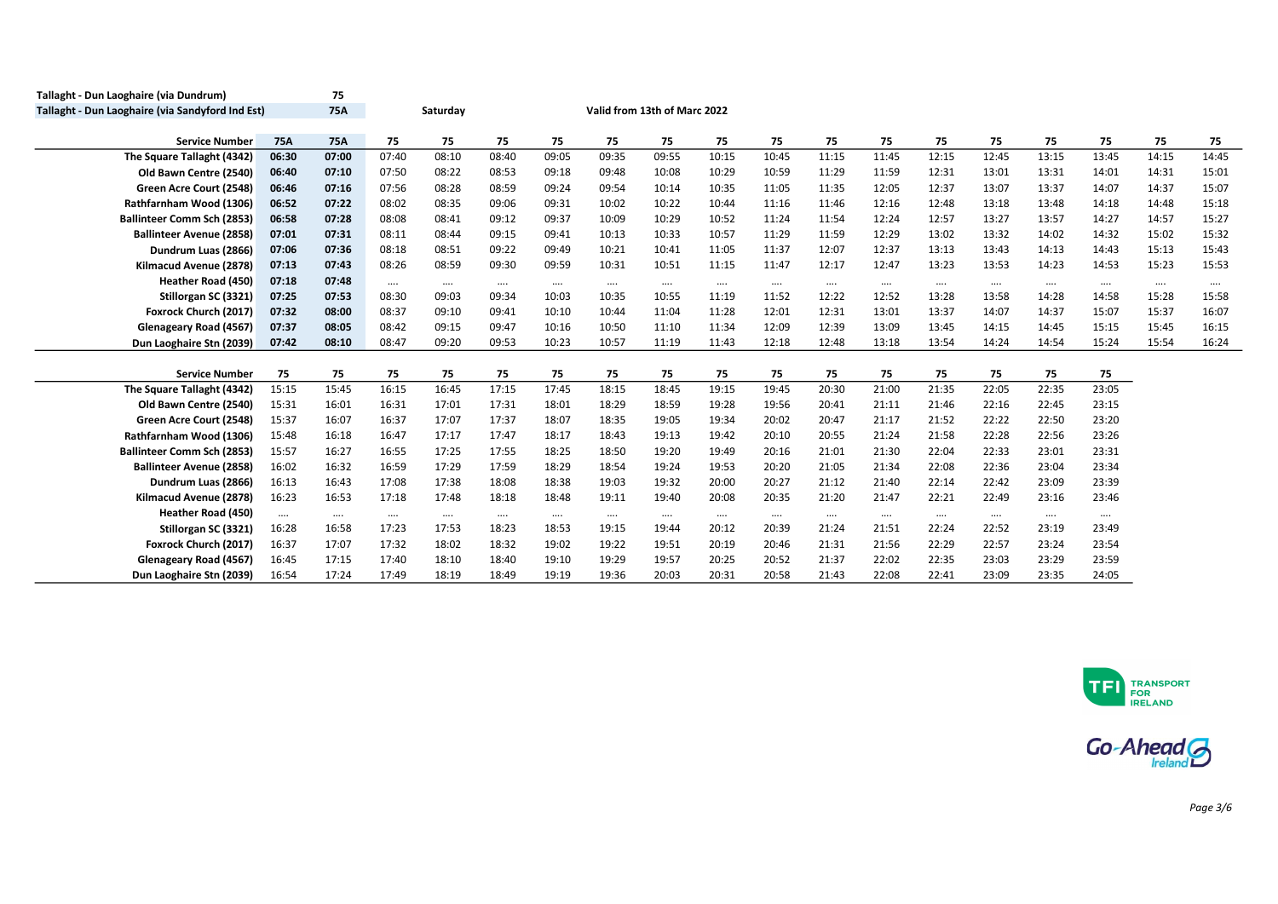| Tallaght - Dun Laoghaire (via Dundrum)                               |                   | 75                |                |                   |                   |                   |                   |                              |                   |                   |                   |                   |                   |                   |                   |                   |          |          |
|----------------------------------------------------------------------|-------------------|-------------------|----------------|-------------------|-------------------|-------------------|-------------------|------------------------------|-------------------|-------------------|-------------------|-------------------|-------------------|-------------------|-------------------|-------------------|----------|----------|
| Tallaght - Dun Laoghaire (via Sandyford Ind Est)                     |                   | 75A               |                | Saturday          |                   |                   |                   | Valid from 13th of Marc 2022 |                   |                   |                   |                   |                   |                   |                   |                   |          |          |
| <b>Service Number</b>                                                | <b>75A</b>        | 75A               | 75             | 75                | 75                | 75                | 75                | 75                           | 75                | 75                | 75                | 75                | 75                | 75                | 75                | 75                | 75       | 75       |
| The Square Tallaght (4342)                                           | 06:30             | 07:00             | 07:40          | 08:10             | 08:40             | 09:05             | 09:35             | 09:55                        | 10:15             | 10:45             | 11:15             | 11:45             | 12:15             | 12:45             | 13:15             | 13:45             | 14:15    | 14:45    |
| Old Bawn Centre (2540)                                               | 06:40             | 07:10             | 07:50          | 08:22             | 08:53             | 09:18             | 09:48             | 10:08                        | 10:29             | 10:59             | 11:29             | 11:59             | 12:31             | 13:01             | 13:31             | 14:01             | 14:31    | 15:01    |
| Green Acre Court (2548)                                              | 06:46             | 07:16             | 07:56          | 08:28             | 08:59             | 09:24             | 09:54             | 10:14                        | 10:35             | 11:05             | 11:35             | 12:05             | 12:37             | 13:07             | 13:37             | 14:07             | 14:37    | 15:07    |
| Rathfarnham Wood (1306)                                              | 06:52             | 07:22             | 08:02          | 08:35             | 09:06             | 09:31             | 10:02             | 10:22                        | 10:44             | 11:16             | 11:46             | 12:16             | 12:48             | 13:18             | 13:48             | 14:18             | 14:48    | 15:18    |
| <b>Ballinteer Comm Sch (2853)</b>                                    | 06:58             | 07:28             | 08:08          | 08:41             | 09:12             | 09:37             | 10:09             | 10:29                        | 10:52             | 11:24             | 11:54             | 12:24             | 12:57             | 13:27             | 13:57             | 14:27             | 14:57    | 15:27    |
| <b>Ballinteer Avenue (2858)</b>                                      | 07:01             | 07:31             | 08:11          | 08:44             | 09:15             | 09:41             | 10:13             | 10:33                        | 10:57             | 11:29             | 11:59             | 12:29             | 13:02             | 13:32             | 14:02             | 14:32             | 15:02    | 15:32    |
| Dundrum Luas (2866)                                                  | 07:06             | 07:36             | 08:18          | 08:51             | 09:22             | 09:49             | 10:21             | 10:41                        | 11:05             | 11:37             | 12:07             | 12:37             | 13:13             | 13:43             | 14:13             | 14:43             | 15:13    | 15:43    |
| Kilmacud Avenue (2878)                                               | 07:13             | 07:43             | 08:26          | 08:59             | 09:30             | 09:59             | 10:31             | 10:51                        | 11:15             | 11:47             | 12:17             | 12:47             | 13:23             | 13:53             | 14:23             | 14:53             | 15:23    | 15:53    |
| Heather Road (450)                                                   | 07:18             | 07:48             | $\cdots$       | $\cdots$          | $\cdots$          | $\cdots$          | $\cdots$          | $\cdots$                     | $\cdots$          | $\cdots$          | $\cdots$          |                   | $\cdots$          | $\cdots$          | $\cdots$          |                   | $\cdots$ | $\cdots$ |
| Stillorgan SC (3321)                                                 | 07:25             | 07:53             | 08:30          | 09:03             | 09:34             | 10:03             | 10:35             | 10:55                        | 11:19             | 11:52             | 12:22             | 12:52             | 13:28             | 13:58             | 14:28             | 14:58             | 15:28    | 15:58    |
| Foxrock Church (2017)                                                | 07:32             | 08:00             | 08:37          | 09:10             | 09:41             | 10:10             | 10:44             | 11:04                        | 11:28             | 12:01             | 12:31             | 13:01             | 13:37             | 14:07             | 14:37             | 15:07             | 15:37    | 16:07    |
| Glenageary Road (4567)                                               | 07:37             | 08:05             | 08:42          | 09:15             | 09:47             | 10:16             | 10:50             | 11:10                        | 11:34             | 12:09             | 12:39             | 13:09             | 13:45             | 14:15             | 14:45             | 15:15             | 15:45    | 16:15    |
| Dun Laoghaire Stn (2039)                                             | 07:42             | 08:10             | 08:47          | 09:20             | 09:53             | 10:23             | 10:57             | 11:19                        | 11:43             | 12:18             | 12:48             | 13:18             | 13:54             | 14:24             | 14:54             | 15:24             | 15:54    | 16:24    |
|                                                                      |                   |                   |                |                   |                   |                   |                   |                              |                   |                   |                   |                   |                   |                   |                   |                   |          |          |
| <b>Service Number</b>                                                | 75                | 75                | 75             | 75                | 75                | 75                | 75                | 75                           | 75                | 75                | 75                | 75                | 75                | 75                | 75                | 75                |          |          |
| The Square Tallaght (4342)                                           | 15:15             | 15:45             | 16:15          | 16:45             | 17:15             | 17:45             | 18:15             | 18:45                        | 19:15             | 19:45             | 20:30             | 21:00             | 21:35             | 22:05             | 22:35             | 23:05             |          |          |
| Old Bawn Centre (2540)                                               | 15:31             | 16:01             | 16:31          | 17:01             | 17:31             | 18:01             | 18:29             | 18:59                        | 19:28             | 19:56             | 20:41             | 21:11             | 21:46             | 22:16             | 22:45             | 23:15             |          |          |
| Green Acre Court (2548)                                              | 15:37             | 16:07<br>16:18    | 16:37          | 17:07<br>17:17    | 17:37<br>17:47    | 18:07<br>18:17    | 18:35<br>18:43    | 19:05<br>19:13               | 19:34<br>19:42    | 20:02<br>20:10    | 20:47<br>20:55    | 21:17<br>21:24    | 21:52             | 22:22<br>22:28    | 22:50<br>22:56    | 23:20<br>23:26    |          |          |
| Rathfarnham Wood (1306)                                              | 15:48             |                   | 16:47          |                   |                   |                   |                   |                              |                   |                   |                   |                   | 21:58             |                   |                   |                   |          |          |
| <b>Ballinteer Comm Sch (2853)</b><br><b>Ballinteer Avenue (2858)</b> | 15:57<br>16:02    | 16:27<br>16:32    | 16:55<br>16:59 | 17:25<br>17:29    | 17:55<br>17:59    | 18:25<br>18:29    | 18:50<br>18:54    | 19:20<br>19:24               | 19:49<br>19:53    | 20:16<br>20:20    | 21:01<br>21:05    | 21:30<br>21:34    | 22:04<br>22:08    | 22:33<br>22:36    | 23:01<br>23:04    | 23:31<br>23:34    |          |          |
| Dundrum Luas (2866)                                                  | 16:13             | 16:43             | 17:08          | 17:38             | 18:08             | 18:38             | 19:03             | 19:32                        | 20:00             | 20:27             | 21:12             | 21:40             | 22:14             | 22:42             | 23:09             | 23:39             |          |          |
| Kilmacud Avenue (2878)                                               | 16:23             | 16:53             | 17:18          | 17:48             | 18:18             | 18:48             | 19:11             | 19:40                        | 20:08             | 20:35             | 21:20             | 21:47             | 22:21             | 22:49             | 23:16             | 23:46             |          |          |
| Heather Road (450)                                                   |                   |                   |                |                   |                   |                   |                   |                              |                   |                   |                   |                   |                   |                   |                   |                   |          |          |
| Stillorgan SC (3321)                                                 | $\cdots$<br>16:28 | $\cdots$<br>16:58 | <br>17:23      | $\cdots$<br>17:53 | $\cdots$<br>18:23 | $\cdots$<br>18:53 | $\cdots$<br>19:15 | $\cdots$<br>19:44            | $\cdots$<br>20:12 | $\cdots$<br>20:39 | $\cdots$<br>21:24 | $\cdots$<br>21:51 | $\cdots$<br>22:24 | $\cdots$<br>22:52 | $\cdots$<br>23:19 | $\cdots$<br>23:49 |          |          |
| Foxrock Church (2017)                                                | 16:37             | 17:07             | 17:32          | 18:02             | 18:32             | 19:02             | 19:22             | 19:51                        | 20:19             | 20:46             | 21:31             | 21:56             | 22:29             | 22:57             | 23:24             | 23:54             |          |          |
| Glenageary Road (4567)                                               | 16:45             | 17:15             | 17:40          | 18:10             | 18:40             | 19:10             | 19:29             | 19:57                        | 20:25             | 20:52             | 21:37             | 22:02             | 22:35             | 23:03             | 23:29             | 23:59             |          |          |
| Dun Laoghaire Stn (2039)                                             | 16:54             | 17:24             | 17:49          | 18:19             | 18:49             | 19:19             | 19:36             | 20:03                        | 20:31             | 20:58             | 21:43             | 22:08             | 22:41             | 23:09             | 23:35             | 24:05             |          |          |



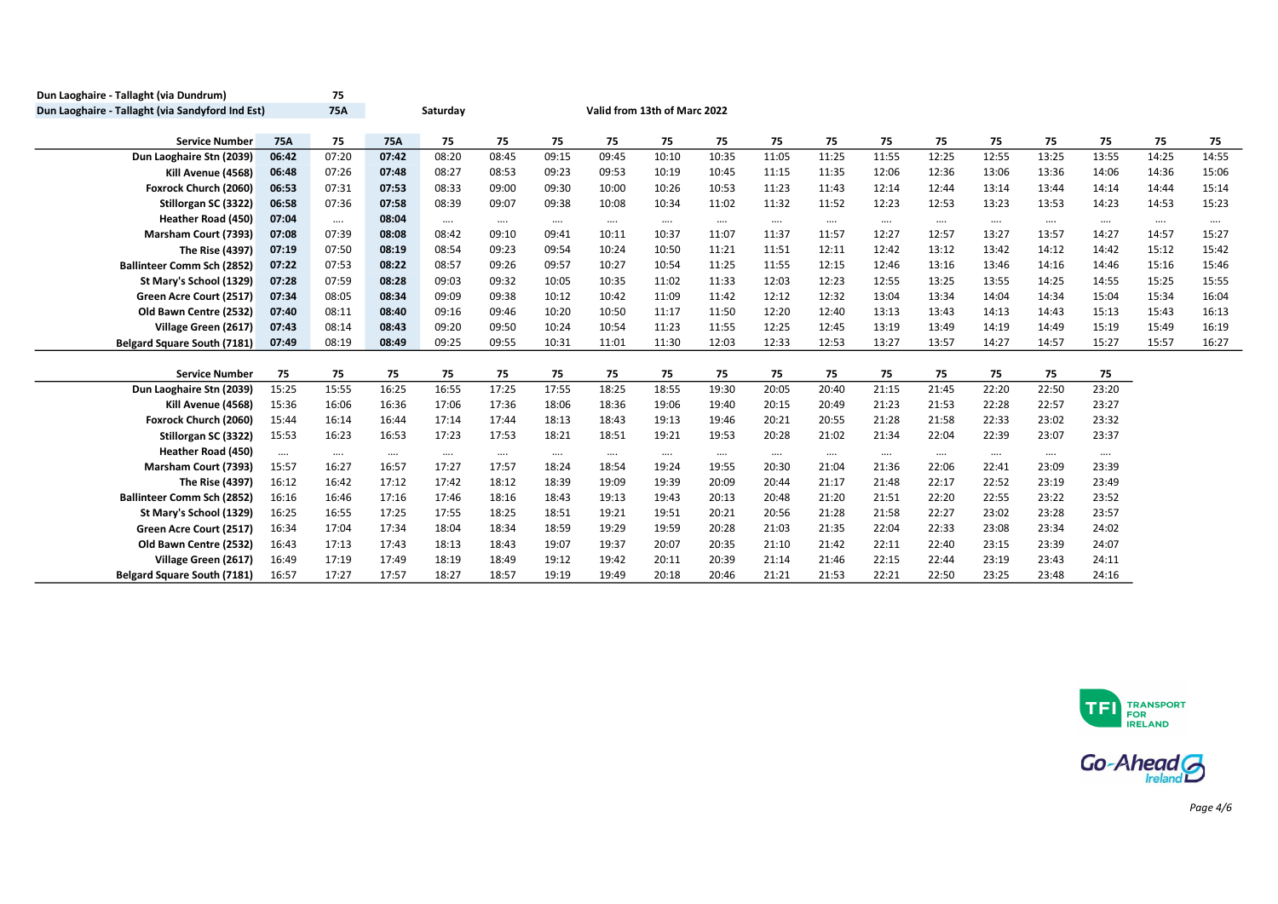| Dun Laoghaire - Tallaght (via Dundrum)           |            | 75         |            |          |          |          |          |                              |          |          |          |          |          |          |          |          |          |          |
|--------------------------------------------------|------------|------------|------------|----------|----------|----------|----------|------------------------------|----------|----------|----------|----------|----------|----------|----------|----------|----------|----------|
| Dun Laoghaire - Tallaght (via Sandyford Ind Est) |            | <b>75A</b> |            | Saturday |          |          |          | Valid from 13th of Marc 2022 |          |          |          |          |          |          |          |          |          |          |
| <b>Service Number</b>                            | <b>75A</b> | 75         | <b>75A</b> | 75       | 75       | 75       | 75       | 75                           | 75       | 75       | 75       | 75       | 75       | 75       | 75       | 75       | 75       | 75       |
| Dun Laoghaire Stn (2039)                         | 06:42      | 07:20      | 07:42      | 08:20    | 08:45    | 09:15    | 09:45    | 10:10                        | 10:35    | 11:05    | 11:25    | 11:55    | 12:25    | 12:55    | 13:25    | 13:55    | 14:25    | 14:55    |
| Kill Avenue (4568)                               | 06:48      | 07:26      | 07:48      | 08:27    | 08:53    | 09:23    | 09:53    | 10:19                        | 10:45    | 11:15    | 11:35    | 12:06    | 12:36    | 13:06    | 13:36    | 14:06    | 14:36    | 15:06    |
| Foxrock Church (2060)                            | 06:53      | 07:31      | 07:53      | 08:33    | 09:00    | 09:30    | 10:00    | 10:26                        | 10:53    | 11:23    | 11:43    | 12:14    | 12:44    | 13:14    | 13:44    | 14:14    | 14:44    | 15:14    |
| Stillorgan SC (3322)                             | 06:58      | 07:36      | 07:58      | 08:39    | 09:07    | 09:38    | 10:08    | 10:34                        | 11:02    | 11:32    | 11:52    | 12:23    | 12:53    | 13:23    | 13:53    | 14:23    | 14:53    | 15:23    |
| <b>Heather Road (450)</b>                        | 07:04      | $\cdots$   | 08:04      | $\cdots$ | $\cdots$ | $\cdots$ | $\cdots$ | $\cdots$                     | $\cdots$ | $\cdots$ | $\cdots$ | $\cdots$ | $\cdots$ | $\cdots$ | $\cdots$ | $\cdots$ | $\cdots$ | $\cdots$ |
| Marsham Court (7393)                             | 07:08      | 07:39      | 08:08      | 08:42    | 09:10    | 09:41    | 10:11    | 10:37                        | 11:07    | 11:37    | 11:57    | 12:27    | 12:57    | 13:27    | 13:57    | 14:27    | 14:57    | 15:27    |
| The Rise (4397)                                  | 07:19      | 07:50      | 08:19      | 08:54    | 09:23    | 09:54    | 10:24    | 10:50                        | 11:21    | 11:51    | 12:11    | 12:42    | 13:12    | 13:42    | 14:12    | 14:42    | 15:12    | 15:42    |
| <b>Ballinteer Comm Sch (2852)</b>                | 07:22      | 07:53      | 08:22      | 08:57    | 09:26    | 09:57    | 10:27    | 10:54                        | 11:25    | 11:55    | 12:15    | 12:46    | 13:16    | 13:46    | 14:16    | 14:46    | 15:16    | 15:46    |
| St Mary's School (1329)                          | 07:28      | 07:59      | 08:28      | 09:03    | 09:32    | 10:05    | 10:35    | 11:02                        | 11:33    | 12:03    | 12:23    | 12:55    | 13:25    | 13:55    | 14:25    | 14:55    | 15:25    | 15:55    |
| Green Acre Court (2517)                          | 07:34      | 08:05      | 08:34      | 09:09    | 09:38    | 10:12    | 10:42    | 11:09                        | 11:42    | 12:12    | 12:32    | 13:04    | 13:34    | 14:04    | 14:34    | 15:04    | 15:34    | 16:04    |
| Old Bawn Centre (2532)                           | 07:40      | 08:11      | 08:40      | 09:16    | 09:46    | 10:20    | 10:50    | 11:17                        | 11:50    | 12:20    | 12:40    | 13:13    | 13:43    | 14:13    | 14:43    | 15:13    | 15:43    | 16:13    |
| Village Green (2617)                             | 07:43      | 08:14      | 08:43      | 09:20    | 09:50    | 10:24    | 10:54    | 11:23                        | 11:55    | 12:25    | 12:45    | 13:19    | 13:49    | 14:19    | 14:49    | 15:19    | 15:49    | 16:19    |
| <b>Belgard Square South (7181)</b>               | 07:49      | 08:19      | 08:49      | 09:25    | 09:55    | 10:31    | 11:01    | 11:30                        | 12:03    | 12:33    | 12:53    | 13:27    | 13:57    | 14:27    | 14:57    | 15:27    | 15:57    | 16:27    |
|                                                  |            |            |            |          |          |          |          |                              |          |          |          |          |          |          |          |          |          |          |
| <b>Service Number</b>                            | 75         | 75         | 75         | 75       | 75       | 75       | 75       | 75                           | 75       | 75       | 75       | 75       | 75       | 75       | 75       | 75       |          |          |
| Dun Laoghaire Stn (2039)                         | 15:25      | 15:55      | 16:25      | 16:55    | 17:25    | 17:55    | 18:25    | 18:55                        | 19:30    | 20:05    | 20:40    | 21:15    | 21:45    | 22:20    | 22:50    | 23:20    |          |          |
| Kill Avenue (4568)                               | 15:36      | 16:06      | 16:36      | 17:06    | 17:36    | 18:06    | 18:36    | 19:06                        | 19:40    | 20:15    | 20:49    | 21:23    | 21:53    | 22:28    | 22:57    | 23:27    |          |          |
| Foxrock Church (2060)                            | 15:44      | 16:14      | 16:44      | 17:14    | 17:44    | 18:13    | 18:43    | 19:13                        | 19:46    | 20:21    | 20:55    | 21:28    | 21:58    | 22:33    | 23:02    | 23:32    |          |          |
| Stillorgan SC (3322)                             | 15:53      | 16:23      | 16:53      | 17:23    | 17:53    | 18:21    | 18:51    | 19:21                        | 19:53    | 20:28    | 21:02    | 21:34    | 22:04    | 22:39    | 23:07    | 23:37    |          |          |
| Heather Road (450)                               | $\cdots$   | $\cdots$   | $\cdots$   | $\cdots$ | $\cdots$ | $\cdots$ | $\cdots$ |                              | $\cdots$ | $\cdots$ | $\cdots$ | $\cdots$ | $\cdots$ | $\cdots$ | $\cdots$ | $\cdots$ |          |          |
| Marsham Court (7393)                             | 15:57      | 16:27      | 16:57      | 17:27    | 17:57    | 18:24    | 18:54    | 19:24                        | 19:55    | 20:30    | 21:04    | 21:36    | 22:06    | 22:41    | 23:09    | 23:39    |          |          |
| The Rise (4397)                                  | 16:12      | 16:42      | 17:12      | 17:42    | 18:12    | 18:39    | 19:09    | 19:39                        | 20:09    | 20:44    | 21:17    | 21:48    | 22:17    | 22:52    | 23:19    | 23:49    |          |          |
| <b>Ballinteer Comm Sch (2852)</b>                | 16:16      | 16:46      | 17:16      | 17:46    | 18:16    | 18:43    | 19:13    | 19:43                        | 20:13    | 20:48    | 21:20    | 21:51    | 22:20    | 22:55    | 23:22    | 23:52    |          |          |
| St Mary's School (1329)                          | 16:25      | 16:55      | 17:25      | 17:55    | 18:25    | 18:51    | 19:21    | 19:51                        | 20:21    | 20:56    | 21:28    | 21:58    | 22:27    | 23:02    | 23:28    | 23:57    |          |          |
| Green Acre Court (2517)                          | 16:34      | 17:04      | 17:34      | 18:04    | 18:34    | 18:59    | 19:29    | 19:59                        | 20:28    | 21:03    | 21:35    | 22:04    | 22:33    | 23:08    | 23:34    | 24:02    |          |          |
| Old Bawn Centre (2532)                           | 16:43      | 17:13      | 17:43      | 18:13    | 18:43    | 19:07    | 19:37    | 20:07                        | 20:35    | 21:10    | 21:42    | 22:11    | 22:40    | 23:15    | 23:39    | 24:07    |          |          |
| Village Green (2617)                             | 16:49      | 17:19      | 17:49      | 18:19    | 18:49    | 19:12    | 19:42    | 20:11                        | 20:39    | 21:14    | 21:46    | 22:15    | 22:44    | 23:19    | 23:43    | 24:11    |          |          |
| Belgard Square South (7181)                      | 16:57      | 17:27      | 17:57      | 18:27    | 18:57    | 19:19    | 19:49    | 20:18                        | 20:46    | 21:21    | 21:53    | 22:21    | 22:50    | 23:25    | 23:48    | 24:16    |          |          |



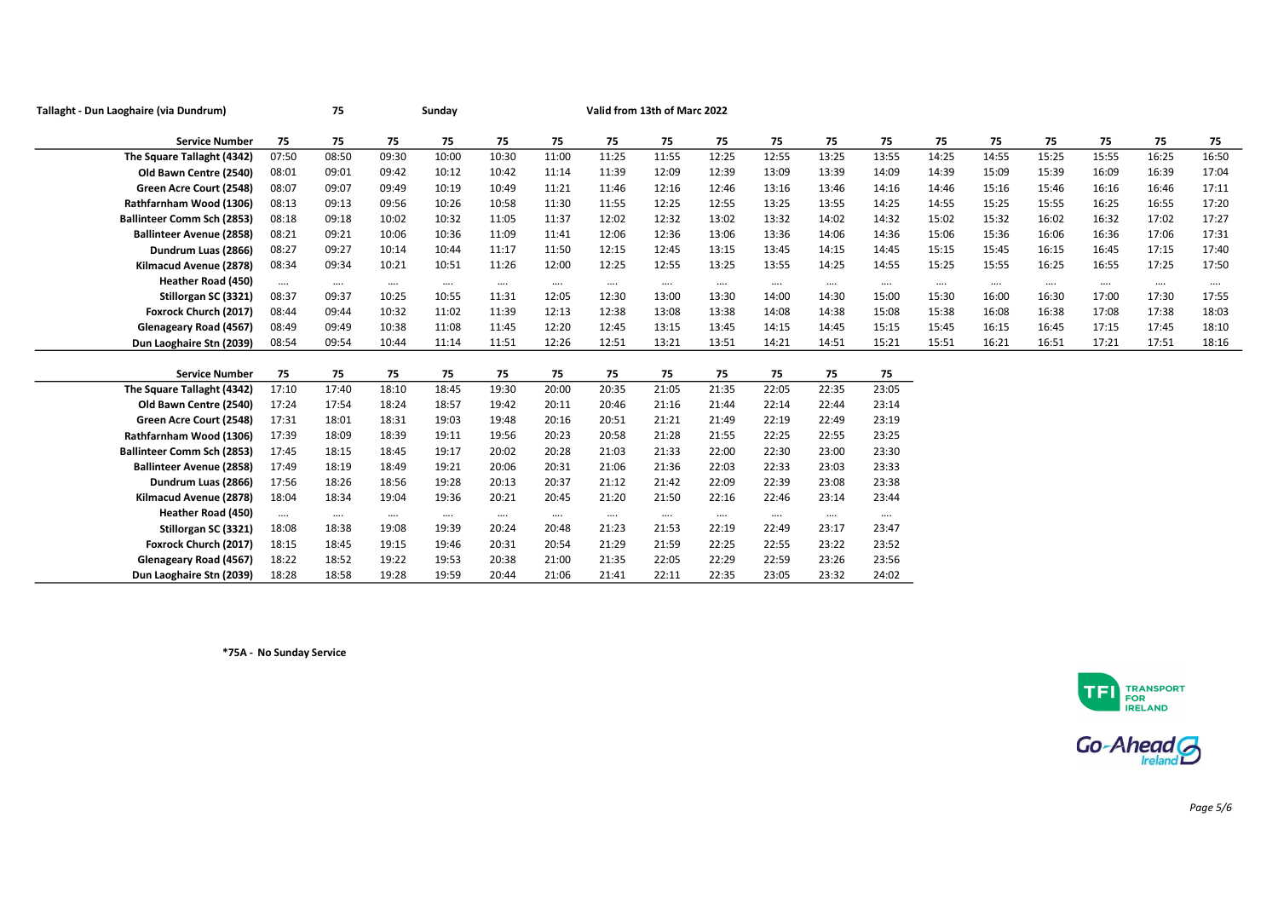| Tallaght - Dun Laoghaire (via Dundrum) |          | 75       |          | Sunday   |          | Valid from 13th of Marc 2022 |          |          |          |          |          |          |          |          |          |          |          |          |
|----------------------------------------|----------|----------|----------|----------|----------|------------------------------|----------|----------|----------|----------|----------|----------|----------|----------|----------|----------|----------|----------|
| <b>Service Number</b>                  | 75       | 75       | 75       | 75       | 75       | 75                           | 75       | 75       | 75       | 75       | 75       | 75       | 75       | 75       | 75       | 75       | 75       | 75       |
| The Square Tallaght (4342)             | 07:50    | 08:50    | 09:30    | 10:00    | 10:30    | 11:00                        | 11:25    | 11:55    | 12:25    | 12:55    | 13:25    | 13:55    | 14:25    | 14:55    | 15:25    | 15:55    | 16:25    | 16:50    |
| Old Bawn Centre (2540)                 | 08:01    | 09:01    | 09:42    | 10:12    | 10:42    | 11:14                        | 11:39    | 12:09    | 12:39    | 13:09    | 13:39    | 14:09    | 14:39    | 15:09    | 15:39    | 16:09    | 16:39    | 17:04    |
| Green Acre Court (2548)                | 08:07    | 09:07    | 09:49    | 10:19    | 10:49    | 11:21                        | 11:46    | 12:16    | 12:46    | 13:16    | 13:46    | 14:16    | 14:46    | 15:16    | 15:46    | 16:16    | 16:46    | 17:11    |
| Rathfarnham Wood (1306)                | 08:13    | 09:13    | 09:56    | 10:26    | 10:58    | 11:30                        | 11:55    | 12:25    | 12:55    | 13:25    | 13:55    | 14:25    | 14:55    | 15:25    | 15:55    | 16:25    | 16:55    | 17:20    |
| <b>Ballinteer Comm Sch (2853)</b>      | 08:18    | 09:18    | 10:02    | 10:32    | 11:05    | 11:37                        | 12:02    | 12:32    | 13:02    | 13:32    | 14:02    | 14:32    | 15:02    | 15:32    | 16:02    | 16:32    | 17:02    | 17:27    |
| <b>Ballinteer Avenue (2858)</b>        | 08:21    | 09:21    | 10:06    | 10:36    | 11:09    | 11:41                        | 12:06    | 12:36    | 13:06    | 13:36    | 14:06    | 14:36    | 15:06    | 15:36    | 16:06    | 16:36    | 17:06    | 17:31    |
| Dundrum Luas (2866)                    | 08:27    | 09:27    | 10:14    | 10:44    | 11:17    | 11:50                        | 12:15    | 12:45    | 13:15    | 13:45    | 14:15    | 14:45    | 15:15    | 15:45    | 16:15    | 16:45    | 17:15    | 17:40    |
| Kilmacud Avenue (2878)                 | 08:34    | 09:34    | 10:21    | 10:51    | 11:26    | 12:00                        | 12:25    | 12:55    | 13:25    | 13:55    | 14:25    | 14:55    | 15:25    | 15:55    | 16:25    | 16:55    | 17:25    | 17:50    |
| <b>Heather Road (450)</b>              | $\cdots$ | $\cdots$ | $\cdots$ | $\cdots$ | $\cdots$ | $\cdots$                     | $\cdots$ | $\cdots$ | $\cdots$ | $\cdots$ | $\cdots$ | $\cdots$ | $\cdots$ | $\cdots$ | $\cdots$ | $\cdots$ | $\cdots$ | $\cdots$ |
| Stillorgan SC (3321)                   | 08:37    | 09:37    | 10:25    | 10:55    | 11:31    | 12:05                        | 12:30    | 13:00    | 13:30    | 14:00    | 14:30    | 15:00    | 15:30    | 16:00    | 16:30    | 17:00    | 17:30    | 17:55    |
| Foxrock Church (2017)                  | 08:44    | 09:44    | 10:32    | 11:02    | 11:39    | 12:13                        | 12:38    | 13:08    | 13:38    | 14:08    | 14:38    | 15:08    | 15:38    | 16:08    | 16:38    | 17:08    | 17:38    | 18:03    |
| Glenageary Road (4567)                 | 08:49    | 09:49    | 10:38    | 11:08    | 11:45    | 12:20                        | 12:45    | 13:15    | 13:45    | 14:15    | 14:45    | 15:15    | 15:45    | 16:15    | 16:45    | 17:15    | 17:45    | 18:10    |
| Dun Laoghaire Stn (2039)               | 08:54    | 09:54    | 10:44    | 11:14    | 11:51    | 12:26                        | 12:51    | 13:21    | 13:51    | 14:21    | 14:51    | 15:21    | 15:51    | 16:21    | 16:51    | 17:21    | 17:51    | 18:16    |
|                                        |          |          |          |          |          |                              |          |          |          |          |          |          |          |          |          |          |          |          |
| <b>Service Number</b>                  | 75       | 75       | 75       | 75       | 75       | 75                           | 75       | 75       | 75       | 75       | 75       | 75       |          |          |          |          |          |          |
| The Square Tallaght (4342)             | 17:10    | 17:40    | 18:10    | 18:45    | 19:30    | 20:00                        | 20:35    | 21:05    | 21:35    | 22:05    | 22:35    | 23:05    |          |          |          |          |          |          |
| Old Bawn Centre (2540)                 | 17:24    | 17:54    | 18:24    | 18:57    | 19:42    | 20:11                        | 20:46    | 21:16    | 21:44    | 22:14    | 22:44    | 23:14    |          |          |          |          |          |          |
| Green Acre Court (2548)                | 17:31    | 18:01    | 18:31    | 19:03    | 19:48    | 20:16                        | 20:51    | 21:21    | 21:49    | 22:19    | 22:49    | 23:19    |          |          |          |          |          |          |
| Rathfarnham Wood (1306)                | 17:39    | 18:09    | 18:39    | 19:11    | 19:56    | 20:23                        | 20:58    | 21:28    | 21:55    | 22:25    | 22:55    | 23:25    |          |          |          |          |          |          |
| <b>Ballinteer Comm Sch (2853)</b>      | 17:45    | 18:15    | 18:45    | 19:17    | 20:02    | 20:28                        | 21:03    | 21:33    | 22:00    | 22:30    | 23:00    | 23:30    |          |          |          |          |          |          |
| <b>Ballinteer Avenue (2858)</b>        | 17:49    | 18:19    | 18:49    | 19:21    | 20:06    | 20:31                        | 21:06    | 21:36    | 22:03    | 22:33    | 23:03    | 23:33    |          |          |          |          |          |          |
| Dundrum Luas (2866)                    | 17:56    | 18:26    | 18:56    | 19:28    | 20:13    | 20:37                        | 21:12    | 21:42    | 22:09    | 22:39    | 23:08    | 23:38    |          |          |          |          |          |          |
| Kilmacud Avenue (2878)                 | 18:04    | 18:34    | 19:04    | 19:36    | 20:21    | 20:45                        | 21:20    | 21:50    | 22:16    | 22:46    | 23:14    | 23:44    |          |          |          |          |          |          |
| <b>Heather Road (450)</b>              | $\cdots$ | $\cdots$ | $\cdots$ | $\cdots$ | $\cdots$ | $\cdots$                     | $\cdots$ | $\cdots$ | $\cdots$ | $\cdots$ | $\cdots$ | $\cdots$ |          |          |          |          |          |          |
| Stillorgan SC (3321)                   | 18:08    | 18:38    | 19:08    | 19:39    | 20:24    | 20:48                        | 21:23    | 21:53    | 22:19    | 22:49    | 23:17    | 23:47    |          |          |          |          |          |          |
| Foxrock Church (2017)                  | 18:15    | 18:45    | 19:15    | 19:46    | 20:31    | 20:54                        | 21:29    | 21:59    | 22:25    | 22:55    | 23:22    | 23:52    |          |          |          |          |          |          |
| Glenageary Road (4567)                 | 18:22    | 18:52    | 19:22    | 19:53    | 20:38    | 21:00                        | 21:35    | 22:05    | 22:29    | 22:59    | 23:26    | 23:56    |          |          |          |          |          |          |
| Dun Laoghaire Stn (2039)               | 18:28    | 18:58    | 19:28    | 19:59    | 20:44    | 21:06                        | 21:41    | 22:11    | 22:35    | 23:05    | 23:32    | 24:02    |          |          |          |          |          |          |

\*75A - No Sunday Service